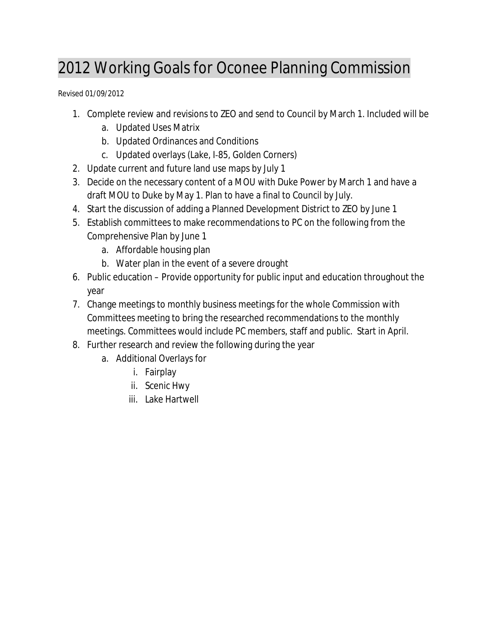## 2012 Working Goals for Oconee Planning Commission

Revised 01/09/2012

- 1. Complete review and revisions to ZEO and send to Council by March 1. Included will be
	- a. Updated Uses Matrix
	- b. Updated Ordinances and Conditions
	- c. Updated overlays (Lake, I‐85, Golden Corners)
- 2. Update current and future land use maps by July 1
- 3. Decide on the necessary content of a MOU with Duke Power by March 1 and have a draft MOU to Duke by May 1. Plan to have a final to Council by July.
- 4. Start the discussion of adding a Planned Development District to ZEO by June 1
- 5. Establish committees to make recommendations to PC on the following from the Comprehensive Plan by June 1
	- a. Affordable housing plan
	- b. Water plan in the event of a severe drought
- 6. Public education Provide opportunity for public input and education throughout the year
- 7. Change meetings to monthly business meetings for the whole Commission with Committees meeting to bring the researched recommendations to the monthly meetings. Committees would include PC members, staff and public. Start in April.
- 8. Further research and review the following during the year
	- a. Additional Overlays for
		- i. Fairplay
		- ii. Scenic Hwy
		- iii. Lake Hartwell